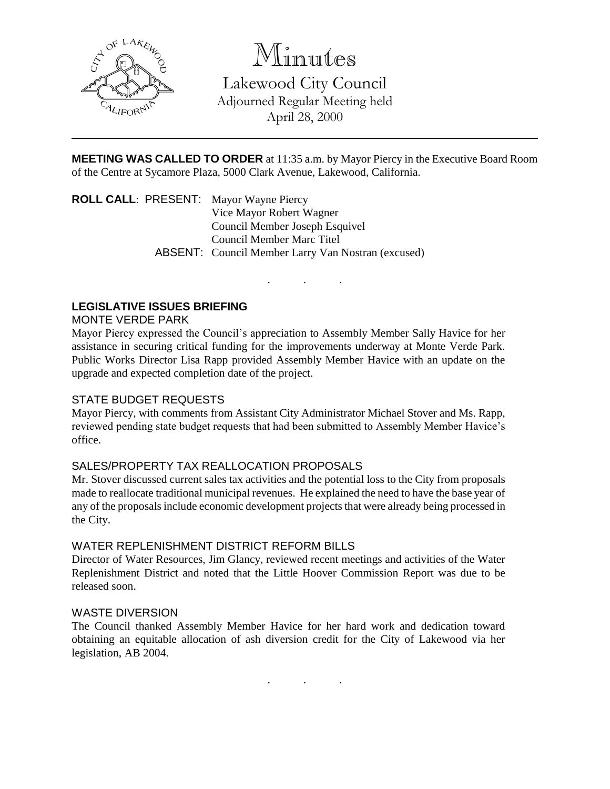

Minutes

Lakewood City Council Adjourned Regular Meeting held April 28, 2000

**MEETING WAS CALLED TO ORDER** at 11:35 a.m. by Mayor Piercy in the Executive Board Room of the Centre at Sycamore Plaza, 5000 Clark Avenue, Lakewood, California.

. . .

**ROLL CALL**: PRESENT: Mayor Wayne Piercy Vice Mayor Robert Wagner Council Member Joseph Esquivel Council Member Marc Titel ABSENT: Council Member Larry Van Nostran (excused)

## **LEGISLATIVE ISSUES BRIEFING**

#### MONTE VERDE PARK

Mayor Piercy expressed the Council's appreciation to Assembly Member Sally Havice for her assistance in securing critical funding for the improvements underway at Monte Verde Park. Public Works Director Lisa Rapp provided Assembly Member Havice with an update on the upgrade and expected completion date of the project.

### STATE BUDGET REQUESTS

Mayor Piercy, with comments from Assistant City Administrator Michael Stover and Ms. Rapp, reviewed pending state budget requests that had been submitted to Assembly Member Havice's office.

#### SALES/PROPERTY TAX REALLOCATION PROPOSALS

Mr. Stover discussed current sales tax activities and the potential loss to the City from proposals made to reallocate traditional municipal revenues. He explained the need to have the base year of any of the proposals include economic development projects that were already being processed in the City.

#### WATER REPLENISHMENT DISTRICT REFORM BILLS

Director of Water Resources, Jim Glancy, reviewed recent meetings and activities of the Water Replenishment District and noted that the Little Hoover Commission Report was due to be released soon.

#### WASTE DIVERSION

The Council thanked Assembly Member Havice for her hard work and dedication toward obtaining an equitable allocation of ash diversion credit for the City of Lakewood via her legislation, AB 2004.

. . .